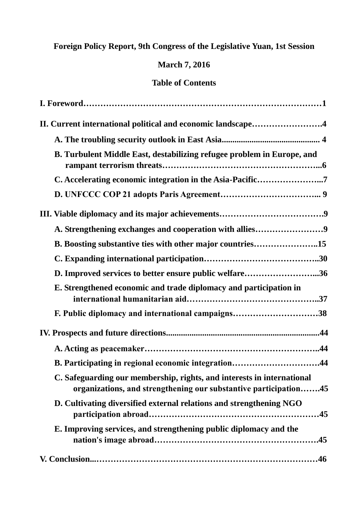## **Foreign Policy Report, 9th Congress of the Legislative Yuan, 1st Session**

## **March 7, 2016**

## **Table of Contents**

| II. Current international political and economic landscape4                                                                                |
|--------------------------------------------------------------------------------------------------------------------------------------------|
|                                                                                                                                            |
| B. Turbulent Middle East, destabilizing refugee problem in Europe, and                                                                     |
| C. Accelerating economic integration in the Asia-Pacific7                                                                                  |
|                                                                                                                                            |
|                                                                                                                                            |
| A. Strengthening exchanges and cooperation with allies9                                                                                    |
| B. Boosting substantive ties with other major countries15                                                                                  |
|                                                                                                                                            |
| D. Improved services to better ensure public welfare36                                                                                     |
| E. Strengthened economic and trade diplomacy and participation in                                                                          |
| F. Public diplomacy and international campaigns38                                                                                          |
|                                                                                                                                            |
|                                                                                                                                            |
| B. Participating in regional economic integration44                                                                                        |
| C. Safeguarding our membership, rights, and interests in international<br>organizations, and strengthening our substantive participation45 |
| D. Cultivating diversified external relations and strengthening NGO                                                                        |
| E. Improving services, and strengthening public diplomacy and the                                                                          |
|                                                                                                                                            |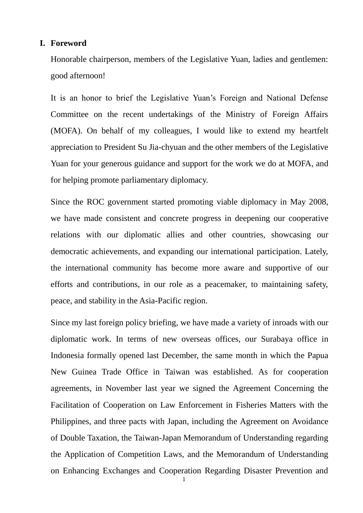### **I. Foreword**

Honorable chairperson, members of the Legislative Yuan, ladies and gentlemen: good afternoon!

It is an honor to brief the Legislative Yuan's Foreign and National Defense Committee on the recent undertakings of the Ministry of Foreign Affairs (MOFA). On behalf of my colleagues, I would like to extend my heartfelt appreciation to President Su Jia-chyuan and the other members of the Legislative Yuan for your generous guidance and support for the work we do at MOFA, and for helping promote parliamentary diplomacy.

Since the ROC government started promoting viable diplomacy in May 2008, we have made consistent and concrete progress in deepening our cooperative relations with our diplomatic allies and other countries, showcasing our democratic achievements, and expanding our international participation. Lately, the international community has become more aware and supportive of our efforts and contributions, in our role as a peacemaker, to maintaining safety, peace, and stability in the Asia-Pacific region.

Since my last foreign policy briefing, we have made a variety of inroads with our diplomatic work. In terms of new overseas offices, our Surabaya office in Indonesia formally opened last December, the same month in which the Papua New Guinea Trade Office in Taiwan was established. As for cooperation agreements, in November last year we signed the Agreement Concerning the Facilitation of Cooperation on Law Enforcement in Fisheries Matters with the Philippines, and three pacts with Japan, including the Agreement on Avoidance of Double Taxation, the Taiwan-Japan Memorandum of Understanding regarding the Application of Competition Laws, and the Memorandum of Understanding on Enhancing Exchanges and Cooperation Regarding Disaster Prevention and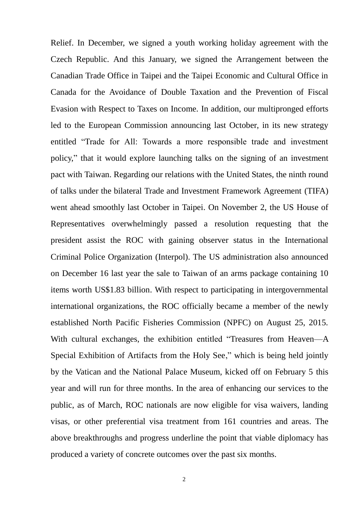Relief. In December, we signed a youth working holiday agreement with the Czech Republic. And this January, we signed the Arrangement between the Canadian Trade Office in Taipei and the Taipei Economic and Cultural Office in Canada for the Avoidance of Double Taxation and the Prevention of Fiscal Evasion with Respect to Taxes on Income. In addition, our multipronged efforts led to the European Commission announcing last October, in its new strategy entitled "Trade for All: Towards a more responsible trade and investment policy," that it would explore launching talks on the signing of an investment pact with Taiwan. Regarding our relations with the United States, the ninth round of talks under the bilateral Trade and Investment Framework Agreement (TIFA) went ahead smoothly last October in Taipei. On November 2, the US House of Representatives overwhelmingly passed a resolution requesting that the president assist the ROC with gaining observer status in the International Criminal Police Organization (Interpol). The US administration also announced on December 16 last year the sale to Taiwan of an arms package containing 10 items worth US\$1.83 billion. With respect to participating in intergovernmental international organizations, the ROC officially became a member of the newly established North Pacific Fisheries Commission (NPFC) on August 25, 2015. With cultural exchanges, the exhibition entitled "Treasures from Heaven—A Special Exhibition of Artifacts from the Holy See," which is being held jointly by the Vatican and the National Palace Museum, kicked off on February 5 this year and will run for three months. In the area of enhancing our services to the public, as of March, ROC nationals are now eligible for visa waivers, landing visas, or other preferential visa treatment from 161 countries and areas. The above breakthroughs and progress underline the point that viable diplomacy has produced a variety of concrete outcomes over the past six months.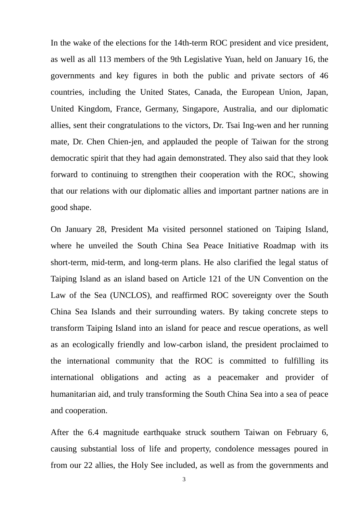In the wake of the elections for the 14th-term ROC president and vice president, as well as all 113 members of the 9th Legislative Yuan, held on January 16, the governments and key figures in both the public and private sectors of 46 countries, including the United States, Canada, the European Union, Japan, United Kingdom, France, Germany, Singapore, Australia, and our diplomatic allies, sent their congratulations to the victors, Dr. Tsai Ing-wen and her running mate, Dr. Chen Chien-jen, and applauded the people of Taiwan for the strong democratic spirit that they had again demonstrated. They also said that they look forward to continuing to strengthen their cooperation with the ROC, showing that our relations with our diplomatic allies and important partner nations are in good shape.

On January 28, President Ma visited personnel stationed on Taiping Island, where he unveiled the South China Sea Peace Initiative Roadmap with its short-term, mid-term, and long-term plans. He also clarified the legal status of Taiping Island as an island based on Article 121 of the UN Convention on the Law of the Sea (UNCLOS), and reaffirmed ROC sovereignty over the South China Sea Islands and their surrounding waters. By taking concrete steps to transform Taiping Island into an island for peace and rescue operations, as well as an ecologically friendly and low-carbon island, the president proclaimed to the international community that the ROC is committed to fulfilling its international obligations and acting as a peacemaker and provider of humanitarian aid, and truly transforming the South China Sea into a sea of peace and cooperation.

After the 6.4 magnitude earthquake struck southern Taiwan on February 6, causing substantial loss of life and property, condolence messages poured in from our 22 allies, the Holy See included, as well as from the governments and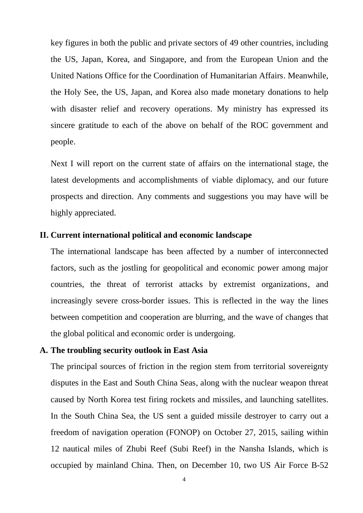key figures in both the public and private sectors of 49 other countries, including the US, Japan, Korea, and Singapore, and from the European Union and the United Nations Office for the Coordination of Humanitarian Affairs. Meanwhile, the Holy See, the US, Japan, and Korea also made monetary donations to help with disaster relief and recovery operations. My ministry has expressed its sincere gratitude to each of the above on behalf of the ROC government and people.

Next I will report on the current state of affairs on the international stage, the latest developments and accomplishments of viable diplomacy, and our future prospects and direction. Any comments and suggestions you may have will be highly appreciated.

## **II. Current international political and economic landscape**

The international landscape has been affected by a number of interconnected factors, such as the jostling for geopolitical and economic power among major countries, the threat of terrorist attacks by extremist organizations, and increasingly severe cross-border issues. This is reflected in the way the lines between competition and cooperation are blurring, and the wave of changes that the global political and economic order is undergoing.

## **A. The troubling security outlook in East Asia**

The principal sources of friction in the region stem from territorial sovereignty disputes in the East and South China Seas, along with the nuclear weapon threat caused by North Korea test firing rockets and missiles, and launching satellites. In the South China Sea, the US sent a guided missile destroyer to carry out a freedom of navigation operation (FONOP) on October 27, 2015, sailing within 12 nautical miles of Zhubi Reef (Subi Reef) in the Nansha Islands, which is occupied by mainland China. Then, on December 10, two US Air Force B-52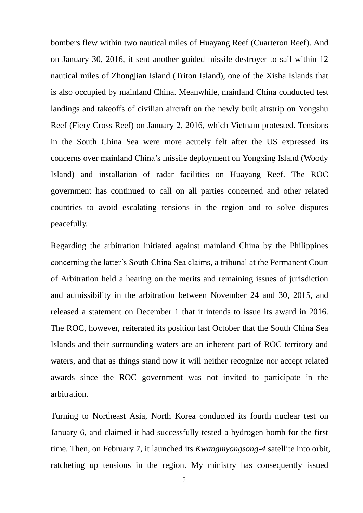bombers flew within two nautical miles of Huayang Reef (Cuarteron Reef). And on January 30, 2016, it sent another guided missile destroyer to sail within 12 nautical miles of Zhongjian Island (Triton Island), one of the Xisha Islands that is also occupied by mainland China. Meanwhile, mainland China conducted test landings and takeoffs of civilian aircraft on the newly built airstrip on Yongshu Reef (Fiery Cross Reef) on January 2, 2016, which Vietnam protested. Tensions in the South China Sea were more acutely felt after the US expressed its concerns over mainland China's missile deployment on Yongxing Island (Woody Island) and installation of radar facilities on Huayang Reef. The ROC government has continued to call on all parties concerned and other related countries to avoid escalating tensions in the region and to solve disputes peacefully.

Regarding the arbitration initiated against mainland China by the Philippines concerning the latter's South China Sea claims, a tribunal at the Permanent Court of Arbitration held a hearing on the merits and remaining issues of jurisdiction and admissibility in the arbitration between November 24 and 30, 2015, and released a statement on December 1 that it intends to issue its award in 2016. The ROC, however, reiterated its position last October that the South China Sea Islands and their surrounding waters are an inherent part of ROC territory and waters, and that as things stand now it will neither recognize nor accept related awards since the ROC government was not invited to participate in the arbitration.

Turning to Northeast Asia, North Korea conducted its fourth nuclear test on January 6, and claimed it had successfully tested a hydrogen bomb for the first time. Then, on February 7, it launched its *Kwangmyongsong-4* satellite into orbit, ratcheting up tensions in the region. My ministry has consequently issued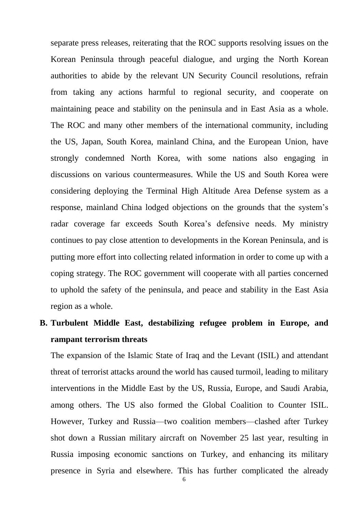separate press releases, reiterating that the ROC supports resolving issues on the Korean Peninsula through peaceful dialogue, and urging the North Korean authorities to abide by the relevant UN Security Council resolutions, refrain from taking any actions harmful to regional security, and cooperate on maintaining peace and stability on the peninsula and in East Asia as a whole. The ROC and many other members of the international community, including the US, Japan, South Korea, mainland China, and the European Union, have strongly condemned North Korea, with some nations also engaging in discussions on various countermeasures. While the US and South Korea were considering deploying the Terminal High Altitude Area Defense system as a response, mainland China lodged objections on the grounds that the system's radar coverage far exceeds South Korea's defensive needs. My ministry continues to pay close attention to developments in the Korean Peninsula, and is putting more effort into collecting related information in order to come up with a coping strategy. The ROC government will cooperate with all parties concerned to uphold the safety of the peninsula, and peace and stability in the East Asia region as a whole.

**B. Turbulent Middle East, destabilizing refugee problem in Europe, and rampant terrorism threats**

The expansion of the Islamic State of Iraq and the Levant (ISIL) and attendant threat of terrorist attacks around the world has caused turmoil, leading to military interventions in the Middle East by the US, Russia, Europe, and Saudi Arabia, among others. The US also formed the Global Coalition to Counter ISIL. However, Turkey and Russia—two coalition members—clashed after Turkey shot down a Russian military aircraft on November 25 last year, resulting in Russia imposing economic sanctions on Turkey, and enhancing its military presence in Syria and elsewhere. This has further complicated the already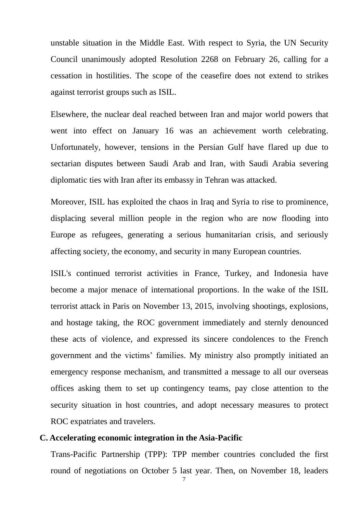unstable situation in the Middle East. With respect to Syria, the UN Security Council unanimously adopted Resolution 2268 on February 26, calling for a cessation in hostilities. The scope of the ceasefire does not extend to strikes against terrorist groups such as ISIL.

Elsewhere, the nuclear deal reached between Iran and major world powers that went into effect on January 16 was an achievement worth celebrating. Unfortunately, however, tensions in the Persian Gulf have flared up due to sectarian disputes between Saudi Arab and Iran, with Saudi Arabia severing diplomatic ties with Iran after its embassy in Tehran was attacked.

Moreover, ISIL has exploited the chaos in Iraq and Syria to rise to prominence, displacing several million people in the region who are now flooding into Europe as refugees, generating a serious humanitarian crisis, and seriously affecting society, the economy, and security in many European countries.

ISIL's continued terrorist activities in France, Turkey, and Indonesia have become a major menace of international proportions. In the wake of the ISIL terrorist attack in Paris on November 13, 2015, involving shootings, explosions, and hostage taking, the ROC government immediately and sternly denounced these acts of violence, and expressed its sincere condolences to the French government and the victims' families. My ministry also promptly initiated an emergency response mechanism, and transmitted a message to all our overseas offices asking them to set up contingency teams, pay close attention to the security situation in host countries, and adopt necessary measures to protect ROC expatriates and travelers.

## **C. Accelerating economic integration in the Asia-Pacific**

Trans-Pacific Partnership (TPP): TPP member countries concluded the first round of negotiations on October 5 last year. Then, on November 18, leaders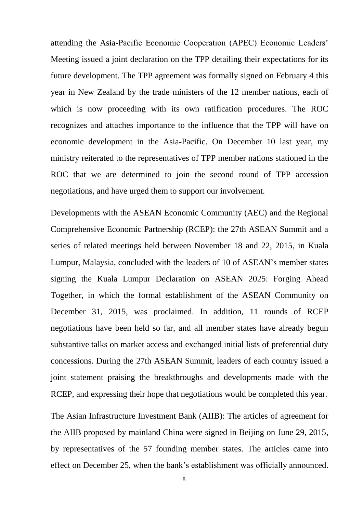attending the Asia-Pacific Economic Cooperation (APEC) Economic Leaders' Meeting issued a joint declaration on the TPP detailing their expectations for its future development. The TPP agreement was formally signed on February 4 this year in New Zealand by the trade ministers of the 12 member nations, each of which is now proceeding with its own ratification procedures. The ROC recognizes and attaches importance to the influence that the TPP will have on economic development in the Asia-Pacific. On December 10 last year, my ministry reiterated to the representatives of TPP member nations stationed in the ROC that we are determined to join the second round of TPP accession negotiations, and have urged them to support our involvement.

Developments with the ASEAN Economic Community (AEC) and the Regional Comprehensive Economic Partnership (RCEP): the 27th ASEAN Summit and a series of related meetings held between November 18 and 22, 2015, in Kuala Lumpur, Malaysia, concluded with the leaders of 10 of ASEAN's member states signing the Kuala Lumpur Declaration on ASEAN 2025: Forging Ahead Together, in which the formal establishment of the ASEAN Community on December 31, 2015, was proclaimed. In addition, 11 rounds of RCEP negotiations have been held so far, and all member states have already begun substantive talks on market access and exchanged initial lists of preferential duty concessions. During the 27th ASEAN Summit, leaders of each country issued a joint statement praising the breakthroughs and developments made with the RCEP, and expressing their hope that negotiations would be completed this year.

The Asian Infrastructure Investment Bank (AIIB): The articles of agreement for the AIIB proposed by mainland China were signed in Beijing on June 29, 2015, by representatives of the 57 founding member states. The articles came into effect on December 25, when the bank's establishment was officially announced.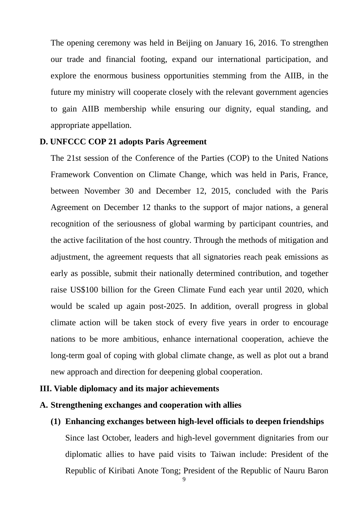The opening ceremony was held in Beijing on January 16, 2016. To strengthen our trade and financial footing, expand our international participation, and explore the enormous business opportunities stemming from the AIIB, in the future my ministry will cooperate closely with the relevant government agencies to gain AIIB membership while ensuring our dignity, equal standing, and appropriate appellation.

## **D. UNFCCC COP 21 adopts Paris Agreement**

The 21st session of the Conference of the Parties (COP) to the United Nations Framework Convention on Climate Change, which was held in Paris, France, between November 30 and December 12, 2015, concluded with the Paris Agreement on December 12 thanks to the support of major nations, a general recognition of the seriousness of global warming by participant countries, and the active facilitation of the host country. Through the methods of mitigation and adjustment, the agreement requests that all signatories reach peak emissions as early as possible, submit their nationally determined contribution, and together raise US\$100 billion for the Green Climate Fund each year until 2020, which would be scaled up again post-2025. In addition, overall progress in global climate action will be taken stock of every five years in order to encourage nations to be more ambitious, enhance international cooperation, achieve the long-term goal of coping with global climate change, as well as plot out a brand new approach and direction for deepening global cooperation.

## **III. Viable diplomacy and its major achievements**

## **A. Strengthening exchanges and cooperation with allies**

**(1) Enhancing exchanges between high-level officials to deepen friendships** Since last October, leaders and high-level government dignitaries from our diplomatic allies to have paid visits to Taiwan include: President of the Republic of Kiribati Anote Tong; President of the Republic of Nauru Baron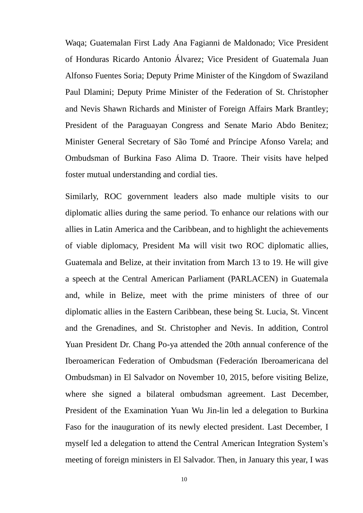Waqa; Guatemalan First Lady Ana Fagianni de Maldonado; Vice President of Honduras Ricardo Antonio Á lvarez; Vice President of Guatemala Juan Alfonso Fuentes Soria; Deputy Prime Minister of the Kingdom of Swaziland Paul Dlamini; Deputy Prime Minister of the Federation of St. Christopher and Nevis Shawn Richards and Minister of Foreign Affairs Mark Brantley; President of the Paraguayan Congress and Senate Mario Abdo Benitez; Minister General Secretary of São Tomé and Príncipe Afonso Varela; and Ombudsman of Burkina Faso Alima D. Traore. Their visits have helped foster mutual understanding and cordial ties.

Similarly, ROC government leaders also made multiple visits to our diplomatic allies during the same period. To enhance our relations with our allies in Latin America and the Caribbean, and to highlight the achievements of viable diplomacy, President Ma will visit two ROC diplomatic allies, Guatemala and Belize, at their invitation from March 13 to 19. He will give a speech at the Central American Parliament (PARLACEN) in Guatemala and, while in Belize, meet with the prime ministers of three of our diplomatic allies in the Eastern Caribbean, these being St. Lucia, St. Vincent and the Grenadines, and St. Christopher and Nevis. In addition, Control Yuan President Dr. Chang Po-ya attended the 20th annual conference of the Iberoamerican Federation of Ombudsman (Federación Iberoamericana del Ombudsman) in El Salvador on November 10, 2015, before visiting Belize, where she signed a bilateral ombudsman agreement. Last December, President of the Examination Yuan Wu Jin-lin led a delegation to Burkina Faso for the inauguration of its newly elected president. Last December, I myself led a delegation to attend the Central American Integration System's meeting of foreign ministers in El Salvador. Then, in January this year, I was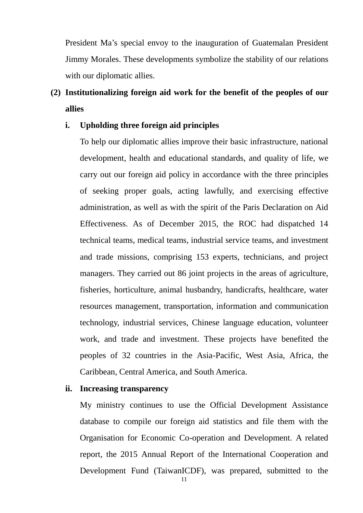President Ma's special envoy to the inauguration of Guatemalan President Jimmy Morales. These developments symbolize the stability of our relations with our diplomatic allies.

## **(2) Institutionalizing foreign aid work for the benefit of the peoples of our allies**

## **i. Upholding three foreign aid principles**

To help our diplomatic allies improve their basic infrastructure, national development, health and educational standards, and quality of life, we carry out our foreign aid policy in accordance with the three principles of seeking proper goals, acting lawfully, and exercising effective administration, as well as with the spirit of the Paris Declaration on Aid Effectiveness. As of December 2015, the ROC had dispatched 14 technical teams, medical teams, industrial service teams, and investment and trade missions, comprising 153 experts, technicians, and project managers. They carried out 86 joint projects in the areas of agriculture, fisheries, horticulture, animal husbandry, handicrafts, healthcare, water resources management, transportation, information and communication technology, industrial services, Chinese language education, volunteer work, and trade and investment. These projects have benefited the peoples of 32 countries in the Asia-Pacific, West Asia, Africa, the Caribbean, Central America, and South America.

#### **ii. Increasing transparency**

My ministry continues to use the Official Development Assistance database to compile our foreign aid statistics and file them with the Organisation for Economic Co-operation and Development. A related report, the 2015 Annual Report of the International Cooperation and Development Fund (TaiwanICDF), was prepared, submitted to the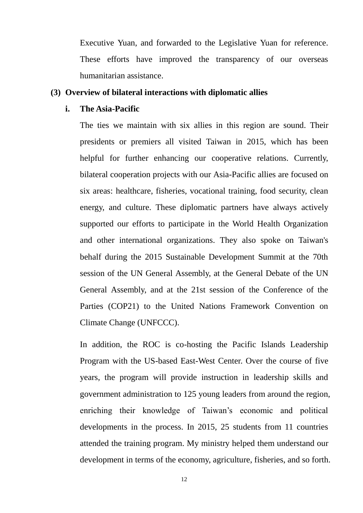Executive Yuan, and forwarded to the Legislative Yuan for reference. These efforts have improved the transparency of our overseas humanitarian assistance.

## **(3) Overview of bilateral interactions with diplomatic allies**

#### **i. The Asia-Pacific**

The ties we maintain with six allies in this region are sound. Their presidents or premiers all visited Taiwan in 2015, which has been helpful for further enhancing our cooperative relations. Currently, bilateral cooperation projects with our Asia-Pacific allies are focused on six areas: healthcare, fisheries, vocational training, food security, clean energy, and culture. These diplomatic partners have always actively supported our efforts to participate in the World Health Organization and other international organizations. They also spoke on Taiwan's behalf during the 2015 Sustainable Development Summit at the 70th session of the UN General Assembly, at the General Debate of the UN General Assembly, and at the 21st session of the Conference of the Parties (COP21) to the United Nations Framework Convention on Climate Change (UNFCCC).

In addition, the ROC is co-hosting the Pacific Islands Leadership Program with the US-based East-West Center. Over the course of five years, the program will provide instruction in leadership skills and government administration to 125 young leaders from around the region, enriching their knowledge of Taiwan's economic and political developments in the process. In 2015, 25 students from 11 countries attended the training program. My ministry helped them understand our development in terms of the economy, agriculture, fisheries, and so forth.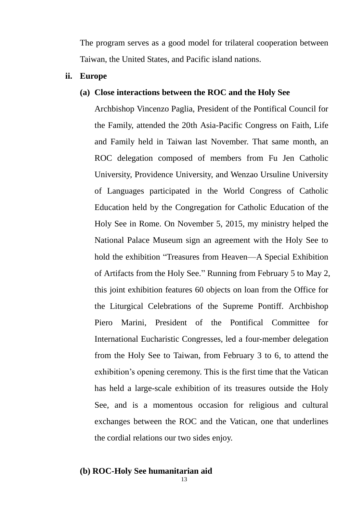The program serves as a good model for trilateral cooperation between Taiwan, the United States, and Pacific island nations.

**ii. Europe**

## **(a) Close interactions between the ROC and the Holy See**

Archbishop Vincenzo Paglia, President of the Pontifical Council for the Family, attended the 20th Asia-Pacific Congress on Faith, Life and Family held in Taiwan last November. That same month, an ROC delegation composed of members from Fu Jen Catholic University, Providence University, and Wenzao Ursuline University of Languages participated in the World Congress of Catholic Education held by the Congregation for Catholic Education of the Holy See in Rome. On November 5, 2015, my ministry helped the National Palace Museum sign an agreement with the Holy See to hold the exhibition "Treasures from Heaven—A Special Exhibition of Artifacts from the Holy See." Running from February 5 to May 2, this joint exhibition features 60 objects on loan from the Office for the Liturgical Celebrations of the Supreme Pontiff. Archbishop Piero Marini, President of the Pontifical Committee for International Eucharistic Congresses, led a four-member delegation from the Holy See to Taiwan, from February 3 to 6, to attend the exhibition's opening ceremony. This is the first time that the Vatican has held a large-scale exhibition of its treasures outside the Holy See, and is a momentous occasion for religious and cultural exchanges between the ROC and the Vatican, one that underlines the cordial relations our two sides enjoy.

## **(b) ROC-Holy See humanitarian aid**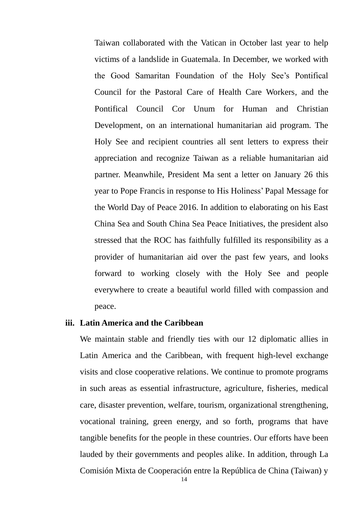Taiwan collaborated with the Vatican in October last year to help victims of a landslide in Guatemala. In December, we worked with the Good Samaritan Foundation of the Holy See's Pontifical Council for the Pastoral Care of Health Care Workers, and the Pontifical Council Cor Unum for Human and Christian Development, on an international humanitarian aid program. The Holy See and recipient countries all sent letters to express their appreciation and recognize Taiwan as a reliable humanitarian aid partner. Meanwhile, President Ma sent a letter on January 26 this year to Pope Francis in response to His Holiness' Papal Message for the World Day of Peace 2016. In addition to elaborating on his East China Sea and South China Sea Peace Initiatives, the president also stressed that the ROC has faithfully fulfilled its responsibility as a provider of humanitarian aid over the past few years, and looks forward to working closely with the Holy See and people everywhere to create a beautiful world filled with compassion and peace.

#### **iii. Latin America and the Caribbean**

We maintain stable and friendly ties with our 12 diplomatic allies in Latin America and the Caribbean, with frequent high-level exchange visits and close cooperative relations. We continue to promote programs in such areas as essential infrastructure, agriculture, fisheries, medical care, disaster prevention, welfare, tourism, organizational strengthening, vocational training, green energy, and so forth, programs that have tangible benefits for the people in these countries. Our efforts have been lauded by their governments and peoples alike. In addition, through La Comisión Mixta de Cooperación entre la República de China (Taiwan) y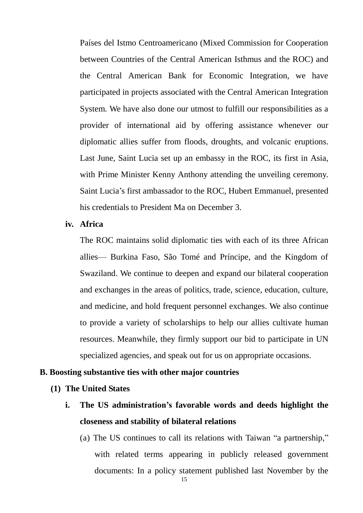Países del Istmo Centroamericano (Mixed Commission for Cooperation between Countries of the Central American Isthmus and the ROC) and the Central American Bank for Economic Integration, we have participated in projects associated with the Central American Integration System. We have also done our utmost to fulfill our responsibilities as a provider of international aid by offering assistance whenever our diplomatic allies suffer from floods, droughts, and volcanic eruptions. Last June, Saint Lucia set up an embassy in the ROC, its first in Asia, with Prime Minister Kenny Anthony attending the unveiling ceremony. Saint Lucia's first ambassador to the ROC, Hubert Emmanuel, presented his credentials to President Ma on December 3.

## **iv. Africa**

The ROC maintains solid diplomatic ties with each of its three African allies— Burkina Faso, São Tomé and Príncipe, and the Kingdom of Swaziland. We continue to deepen and expand our bilateral cooperation and exchanges in the areas of politics, trade, science, education, culture, and medicine, and hold frequent personnel exchanges. We also continue to provide a variety of scholarships to help our allies cultivate human resources. Meanwhile, they firmly support our bid to participate in UN specialized agencies, and speak out for us on appropriate occasions.

### **B. Boosting substantive ties with other major countries**

#### **(1) The United States**

- **i. The US administration's favorable words and deeds highlight the closeness and stability of bilateral relations**
	- (a) The US continues to call its relations with Taiwan "a partnership," with related terms appearing in publicly released government documents: In a policy statement published last November by the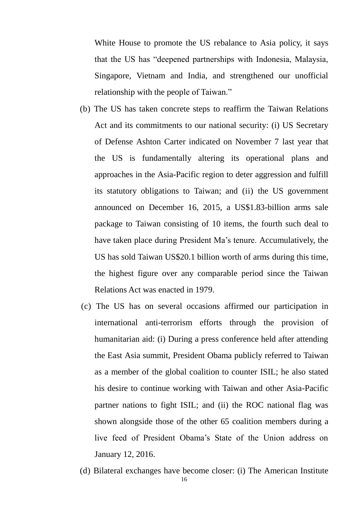White House to promote the US rebalance to Asia policy, it says that the US has "deepened partnerships with Indonesia, Malaysia, Singapore, Vietnam and India, and strengthened our unofficial relationship with the people of Taiwan."

- (b) The US has taken concrete steps to reaffirm the Taiwan Relations Act and its commitments to our national security: (i) US Secretary of Defense Ashton Carter indicated on November 7 last year that the US is fundamentally altering its operational plans and approaches in the Asia-Pacific region to deter aggression and fulfill its statutory obligations to Taiwan; and (ii) the US government announced on December 16, 2015, a US\$1.83-billion arms sale package to Taiwan consisting of 10 items, the fourth such deal to have taken place during President Ma's tenure. Accumulatively, the US has sold Taiwan US\$20.1 billion worth of arms during this time, the highest figure over any comparable period since the Taiwan Relations Act was enacted in 1979.
- (c) The US has on several occasions affirmed our participation in international anti-terrorism efforts through the provision of humanitarian aid: (i) During a press conference held after attending the East Asia summit, President Obama publicly referred to Taiwan as a member of the global coalition to counter ISIL; he also stated his desire to continue working with Taiwan and other Asia-Pacific partner nations to fight ISIL; and (ii) the ROC national flag was shown alongside those of the other 65 coalition members during a live feed of President Obama's State of the Union address on January 12, 2016.
- (d) Bilateral exchanges have become closer: (i) The American Institute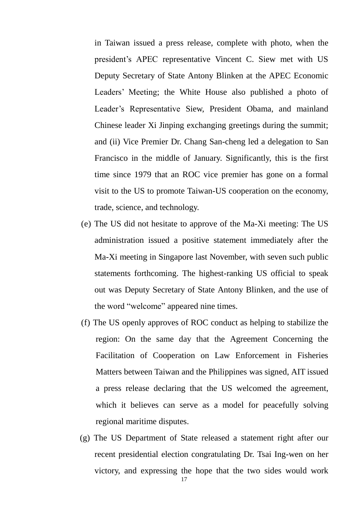in Taiwan issued a press release, complete with photo, when the president's APEC representative Vincent C. Siew met with US Deputy Secretary of State Antony Blinken at the APEC Economic Leaders' Meeting; the White House also published a photo of Leader's Representative Siew, President Obama, and mainland Chinese leader Xi Jinping exchanging greetings during the summit; and (ii) Vice Premier Dr. Chang San-cheng led a delegation to San Francisco in the middle of January. Significantly, this is the first time since 1979 that an ROC vice premier has gone on a formal visit to the US to promote Taiwan-US cooperation on the economy, trade, science, and technology.

- (e) The US did not hesitate to approve of the Ma-Xi meeting: The US administration issued a positive statement immediately after the Ma-Xi meeting in Singapore last November, with seven such public statements forthcoming. The highest-ranking US official to speak out was Deputy Secretary of State Antony Blinken, and the use of the word "welcome" appeared nine times.
- (f) The US openly approves of ROC conduct as helping to stabilize the region: On the same day that the Agreement Concerning the Facilitation of Cooperation on Law Enforcement in Fisheries Matters between Taiwan and the Philippines was signed, AIT issued a press release declaring that the US welcomed the agreement, which it believes can serve as a model for peacefully solving regional maritime disputes.
- (g) The US Department of State released a statement right after our recent presidential election congratulating Dr. Tsai Ing-wen on her victory, and expressing the hope that the two sides would work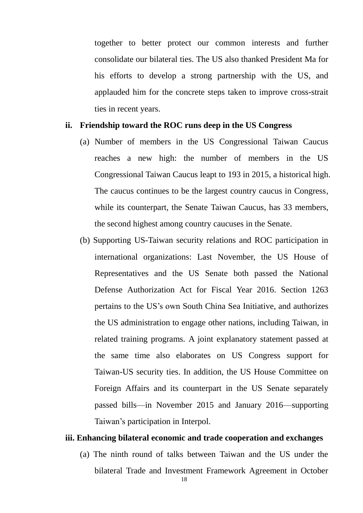together to better protect our common interests and further consolidate our bilateral ties. The US also thanked President Ma for his efforts to develop a strong partnership with the US, and applauded him for the concrete steps taken to improve cross-strait ties in recent years.

## **ii. Friendship toward the ROC runs deep in the US Congress**

- (a) Number of members in the US Congressional Taiwan Caucus reaches a new high: the number of members in the US Congressional Taiwan Caucus leapt to 193 in 2015, a historical high. The caucus continues to be the largest country caucus in Congress, while its counterpart, the Senate Taiwan Caucus, has 33 members, the second highest among country caucuses in the Senate.
- (b) Supporting US-Taiwan security relations and ROC participation in international organizations: Last November, the US House of Representatives and the US Senate both passed the National Defense Authorization Act for Fiscal Year 2016. Section 1263 pertains to the US's own South China Sea Initiative, and authorizes the US administration to engage other nations, including Taiwan, in related training programs. A joint explanatory statement passed at the same time also elaborates on US Congress support for Taiwan-US security ties. In addition, the US House Committee on Foreign Affairs and its counterpart in the US Senate separately passed bills—in November 2015 and January 2016—supporting Taiwan's participation in Interpol.

## **iii. Enhancing bilateral economic and trade cooperation and exchanges**

(a) The ninth round of talks between Taiwan and the US under the bilateral Trade and Investment Framework Agreement in October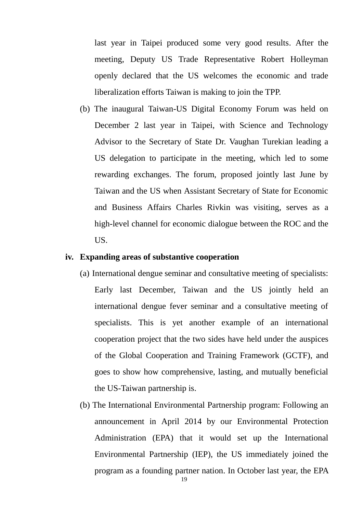last year in Taipei produced some very good results. After the meeting, Deputy US Trade Representative Robert Holleyman openly declared that the US welcomes the economic and trade liberalization efforts Taiwan is making to join the TPP.

(b) The inaugural Taiwan-US Digital Economy Forum was held on December 2 last year in Taipei, with Science and Technology Advisor to the Secretary of State Dr. Vaughan Turekian leading a US delegation to participate in the meeting, which led to some rewarding exchanges. The forum, proposed jointly last June by Taiwan and the US when Assistant Secretary of State for Economic and Business Affairs Charles Rivkin was visiting, serves as a high-level channel for economic dialogue between the ROC and the US.

#### **iv. Expanding areas of substantive cooperation**

- (a) International dengue seminar and consultative meeting of specialists: Early last December, Taiwan and the US jointly held an international dengue fever seminar and a consultative meeting of specialists. This is yet another example of an international cooperation project that the two sides have held under the auspices of the Global Cooperation and Training Framework (GCTF), and goes to show how comprehensive, lasting, and mutually beneficial the US-Taiwan partnership is.
- (b) The International Environmental Partnership program: Following an announcement in April 2014 by our Environmental Protection Administration (EPA) that it would set up the International Environmental Partnership (IEP), the US immediately joined the program as a founding partner nation. In October last year, the EPA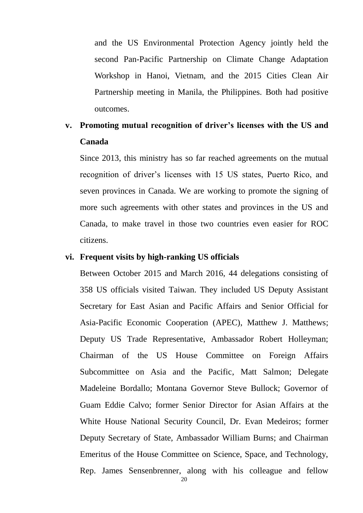and the US Environmental Protection Agency jointly held the second Pan-Pacific Partnership on Climate Change Adaptation Workshop in Hanoi, Vietnam, and the 2015 Cities Clean Air Partnership meeting in Manila, the Philippines. Both had positive outcomes.

## **v. Promoting mutual recognition of driver's licenses with the US and Canada**

Since 2013, this ministry has so far reached agreements on the mutual recognition of driver's licenses with 15 US states, Puerto Rico, and seven provinces in Canada. We are working to promote the signing of more such agreements with other states and provinces in the US and Canada, to make travel in those two countries even easier for ROC citizens.

## **vi. Frequent visits by high-ranking US officials**

Between October 2015 and March 2016, 44 delegations consisting of 358 US officials visited Taiwan. They included US Deputy Assistant Secretary for East Asian and Pacific Affairs and Senior Official for Asia-Pacific Economic Cooperation (APEC), Matthew J. Matthews; Deputy US Trade Representative, Ambassador Robert Holleyman; Chairman of the US House Committee on Foreign Affairs Subcommittee on Asia and the Pacific, Matt Salmon; Delegate Madeleine Bordallo; Montana Governor Steve Bullock; Governor of Guam Eddie Calvo; former Senior Director for Asian Affairs at the White House National Security Council, Dr. Evan Medeiros; former Deputy Secretary of State, Ambassador William Burns; and Chairman Emeritus of the House Committee on Science, Space, and Technology, Rep. James Sensenbrenner, along with his colleague and fellow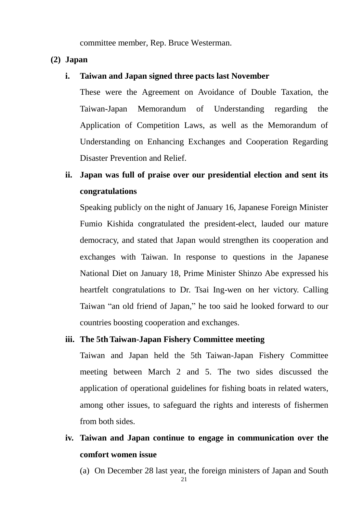committee member, Rep. Bruce Westerman.

### **(2) Japan**

#### **i. Taiwan and Japan signed three pacts last November**

These were the Agreement on Avoidance of Double Taxation, the Taiwan-Japan Memorandum of Understanding regarding the Application of Competition Laws, as well as the Memorandum of Understanding on Enhancing Exchanges and Cooperation Regarding Disaster Prevention and Relief.

## **ii. Japan was full of praise over our presidential election and sent its congratulations**

Speaking publicly on the night of January 16, Japanese Foreign Minister Fumio Kishida congratulated the president-elect, lauded our mature democracy, and stated that Japan would strengthen its cooperation and exchanges with Taiwan. In response to questions in the Japanese National Diet on January 18, Prime Minister Shinzo Abe expressed his heartfelt congratulations to Dr. Tsai Ing-wen on her victory. Calling Taiwan "an old friend of Japan," he too said he looked forward to our countries boosting cooperation and exchanges.

## **iii. The 5thTaiwan-Japan Fishery Committee meeting**

Taiwan and Japan held the 5th Taiwan-Japan Fishery Committee meeting between March 2 and 5. The two sides discussed the application of operational guidelines for fishing boats in related waters, among other issues, to safeguard the rights and interests of fishermen from both sides.

## **iv. Taiwan and Japan continue to engage in communication over the comfort women issue**

(a) On December 28 last year, the foreign ministers of Japan and South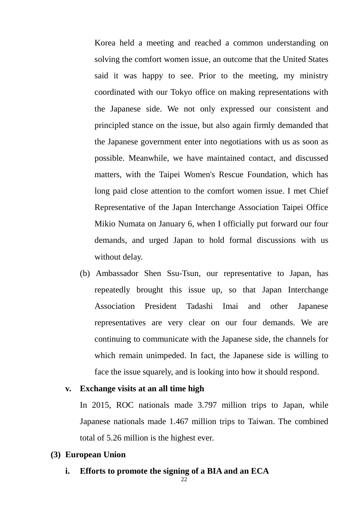Korea held a meeting and reached a common understanding on solving the comfort women issue, an outcome that the United States said it was happy to see. Prior to the meeting, my ministry coordinated with our Tokyo office on making representations with the Japanese side. We not only expressed our consistent and principled stance on the issue, but also again firmly demanded that the Japanese government enter into negotiations with us as soon as possible. Meanwhile, we have maintained contact, and discussed matters, with the Taipei Women's Rescue Foundation, which has long paid close attention to the comfort women issue. I met Chief Representative of the Japan Interchange Association Taipei Office Mikio Numata on January 6, when I officially put forward our four demands, and urged Japan to hold formal discussions with us without delay.

(b) Ambassador Shen Ssu-Tsun, our representative to Japan, has repeatedly brought this issue up, so that Japan Interchange Association President Tadashi Imai and other Japanese representatives are very clear on our four demands. We are continuing to communicate with the Japanese side, the channels for which remain unimpeded. In fact, the Japanese side is willing to face the issue squarely, and is looking into how it should respond.

#### **v. Exchange visits at an all time high**

In 2015, ROC nationals made 3.797 million trips to Japan, while Japanese nationals made 1.467 million trips to Taiwan. The combined total of 5.26 million is the highest ever.

### **(3) European Union**

**i. Efforts to promote the signing of a BIA and an ECA**

22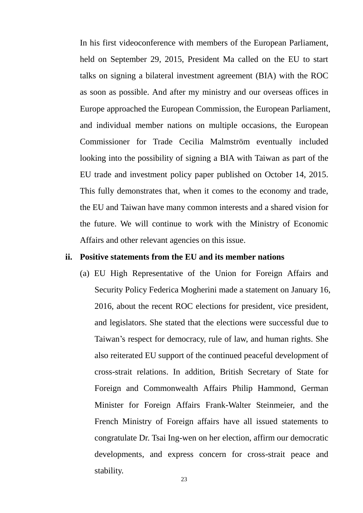In his first videoconference with members of the European Parliament, held on September 29, 2015, President Ma called on the EU to start talks on signing a bilateral investment agreement (BIA) with the ROC as soon as possible. And after my ministry and our overseas offices in Europe approached the European Commission, the European Parliament, and individual member nations on multiple occasions, the European Commissioner for Trade Cecilia Malmström eventually included looking into the possibility of signing a BIA with Taiwan as part of the EU trade and investment policy paper published on October 14, 2015. This fully demonstrates that, when it comes to the economy and trade, the EU and Taiwan have many common interests and a shared vision for the future. We will continue to work with the Ministry of Economic Affairs and other relevant agencies on this issue.

#### **ii. Positive statements from the EU and its member nations**

(a) EU High Representative of the Union for Foreign Affairs and Security Policy Federica Mogherini made a statement on January 16, 2016, about the recent ROC elections for president, vice president, and legislators. She stated that the elections were successful due to Taiwan's respect for democracy, rule of law, and human rights. She also reiterated EU support of the continued peaceful development of cross-strait relations. In addition, British Secretary of State for Foreign and Commonwealth Affairs Philip Hammond, German Minister for Foreign Affairs Frank-Walter Steinmeier, and the French Ministry of Foreign affairs have all issued statements to congratulate Dr. Tsai Ing-wen on her election, affirm our democratic developments, and express concern for cross-strait peace and stability.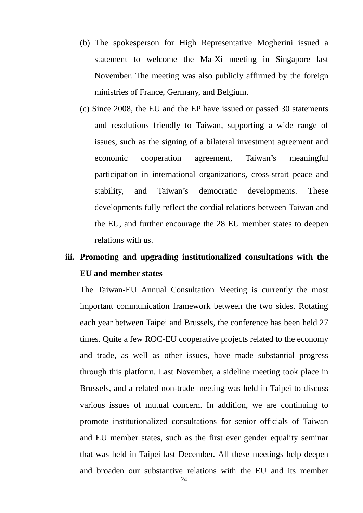- (b) The spokesperson for High Representative Mogherini issued a statement to welcome the Ma-Xi meeting in Singapore last November. The meeting was also publicly affirmed by the foreign ministries of France, Germany, and Belgium.
- (c) Since 2008, the EU and the EP have issued or passed 30 statements and resolutions friendly to Taiwan, supporting a wide range of issues, such as the signing of a bilateral investment agreement and economic cooperation agreement, Taiwan's meaningful participation in international organizations, cross-strait peace and stability, and Taiwan's democratic developments. These developments fully reflect the cordial relations between Taiwan and the EU, and further encourage the 28 EU member states to deepen relations with us.

## **iii. Promoting and upgrading institutionalized consultations with the EU and member states**

The Taiwan-EU Annual Consultation Meeting is currently the most important communication framework between the two sides. Rotating each year between Taipei and Brussels, the conference has been held 27 times. Quite a few ROC-EU cooperative projects related to the economy and trade, as well as other issues, have made substantial progress through this platform. Last November, a sideline meeting took place in Brussels, and a related non-trade meeting was held in Taipei to discuss various issues of mutual concern. In addition, we are continuing to promote institutionalized consultations for senior officials of Taiwan and EU member states, such as the first ever gender equality seminar that was held in Taipei last December. All these meetings help deepen and broaden our substantive relations with the EU and its member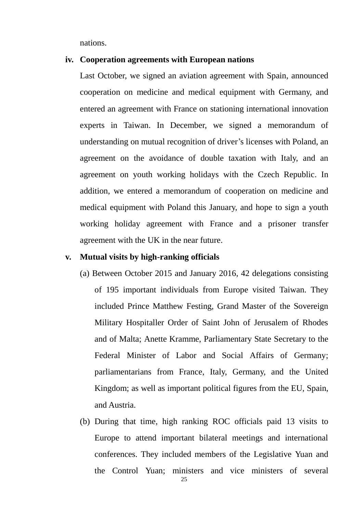nations.

#### **iv. Cooperation agreements with European nations**

Last October, we signed an aviation agreement with Spain, announced cooperation on medicine and medical equipment with Germany, and entered an agreement with France on stationing international innovation experts in Taiwan. In December, we signed a memorandum of understanding on mutual recognition of driver's licenses with Poland, an agreement on the avoidance of double taxation with Italy, and an agreement on youth working holidays with the Czech Republic. In addition, we entered a memorandum of cooperation on medicine and medical equipment with Poland this January, and hope to sign a youth working holiday agreement with France and a prisoner transfer agreement with the UK in the near future.

#### **v. Mutual visits by high-ranking officials**

- (a) Between October 2015 and January 2016, 42 delegations consisting of 195 important individuals from Europe visited Taiwan. They included Prince Matthew Festing, Grand Master of the Sovereign Military Hospitaller Order of Saint John of Jerusalem of Rhodes and of Malta; Anette Kramme, Parliamentary State Secretary to the Federal Minister of Labor and Social Affairs of Germany; parliamentarians from France, Italy, Germany, and the United Kingdom; as well as important political figures from the EU, Spain, and Austria.
- (b) During that time, high ranking ROC officials paid 13 visits to Europe to attend important bilateral meetings and international conferences. They included members of the Legislative Yuan and the Control Yuan; ministers and vice ministers of several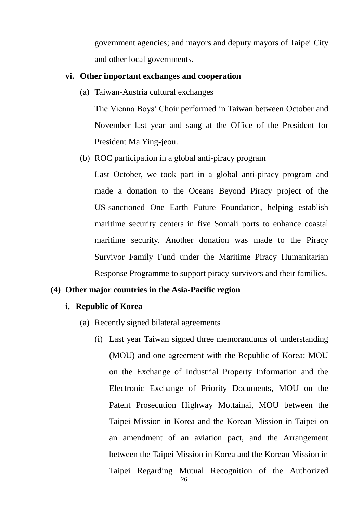government agencies; and mayors and deputy mayors of Taipei City and other local governments.

#### **vi. Other important exchanges and cooperation**

(a) Taiwan-Austria cultural exchanges

The Vienna Boys' Choir performed in Taiwan between October and November last year and sang at the Office of the President for President Ma Ying-jeou.

(b) ROC participation in a global anti-piracy program

Last October, we took part in a global anti-piracy program and made a donation to the Oceans Beyond Piracy project of the US-sanctioned One Earth Future Foundation, helping establish maritime security centers in five Somali ports to enhance coastal maritime security. Another donation was made to the Piracy Survivor Family Fund under the Maritime Piracy Humanitarian Response Programme to support piracy survivors and their families.

## **(4) Other major countries in the Asia-Pacific region**

## **i. Republic of Korea**

- (a) Recently signed bilateral agreements
	- (i) Last year Taiwan signed three memorandums of understanding (MOU) and one agreement with the Republic of Korea: MOU on the Exchange of Industrial Property Information and the Electronic Exchange of Priority Documents, MOU on the Patent Prosecution Highway Mottainai, MOU between the Taipei Mission in Korea and the Korean Mission in Taipei on an amendment of an aviation pact, and the Arrangement between the Taipei Mission in Korea and the Korean Mission in Taipei Regarding Mutual Recognition of the Authorized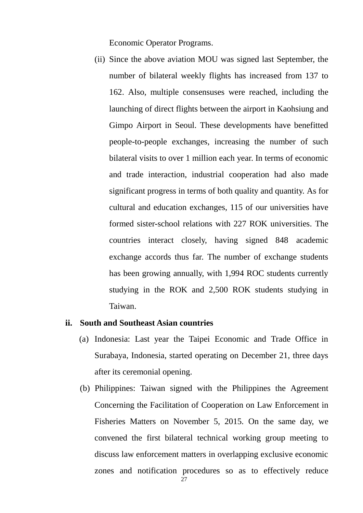Economic Operator Programs.

(ii) Since the above aviation MOU was signed last September, the number of bilateral weekly flights has increased from 137 to 162. Also, multiple consensuses were reached, including the launching of direct flights between the airport in Kaohsiung and Gimpo Airport in Seoul. These developments have benefitted people-to-people exchanges, increasing the number of such bilateral visits to over 1 million each year. In terms of economic and trade interaction, industrial cooperation had also made significant progress in terms of both quality and quantity. As for cultural and education exchanges, 115 of our universities have formed sister-school relations with 227 ROK universities. The countries interact closely, having signed 848 academic exchange accords thus far. The number of exchange students has been growing annually, with 1,994 ROC students currently studying in the ROK and 2,500 ROK students studying in Taiwan.

#### **ii. South and Southeast Asian countries**

- (a) Indonesia: Last year the Taipei Economic and Trade Office in Surabaya, Indonesia, started operating on December 21, three days after its ceremonial opening.
- (b) Philippines: Taiwan signed with the Philippines the Agreement Concerning the Facilitation of Cooperation on Law Enforcement in Fisheries Matters on November 5, 2015. On the same day, we convened the first bilateral technical working group meeting to discuss law enforcement matters in overlapping exclusive economic zones and notification procedures so as to effectively reduce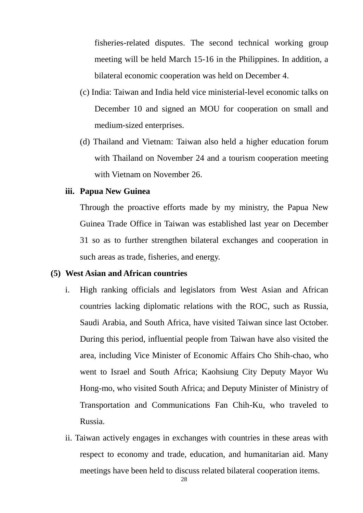fisheries-related disputes. The second technical working group meeting will be held March 15-16 in the Philippines. In addition, a bilateral economic cooperation was held on December 4.

- (c) India: Taiwan and India held vice ministerial-level economic talks on December 10 and signed an MOU for cooperation on small and medium-sized enterprises.
- (d) Thailand and Vietnam: Taiwan also held a higher education forum with Thailand on November 24 and a tourism cooperation meeting with Vietnam on November 26.

## **iii. Papua New Guinea**

Through the proactive efforts made by my ministry, the Papua New Guinea Trade Office in Taiwan was established last year on December 31 so as to further strengthen bilateral exchanges and cooperation in such areas as trade, fisheries, and energy.

## **(5) West Asian and African countries**

- i. High ranking officials and legislators from West Asian and African countries lacking diplomatic relations with the ROC, such as Russia, Saudi Arabia, and South Africa, have visited Taiwan since last October. During this period, influential people from Taiwan have also visited the area, including Vice Minister of Economic Affairs Cho Shih-chao, who went to Israel and South Africa; Kaohsiung City Deputy Mayor Wu Hong-mo, who visited South Africa; and Deputy Minister of Ministry of Transportation and Communications Fan Chih-Ku, who traveled to Russia.
- ii. Taiwan actively engages in exchanges with countries in these areas with respect to economy and trade, education, and humanitarian aid. Many meetings have been held to discuss related bilateral cooperation items.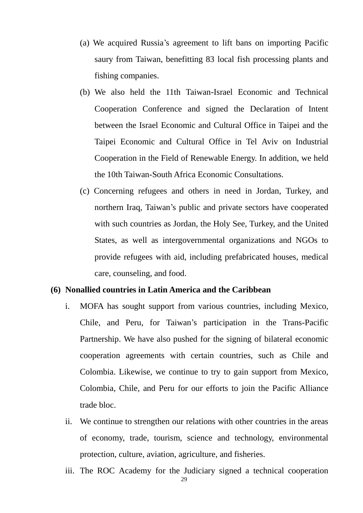- (a) We acquired Russia's agreement to lift bans on importing Pacific saury from Taiwan, benefitting 83 local fish processing plants and fishing companies.
- (b) We also held the 11th Taiwan-Israel Economic and Technical Cooperation Conference and signed the Declaration of Intent between the Israel Economic and Cultural Office in Taipei and the Taipei Economic and Cultural Office in Tel Aviv on Industrial Cooperation in the Field of Renewable Energy. In addition, we held the 10th Taiwan-South Africa Economic Consultations.
- (c) Concerning refugees and others in need in Jordan, Turkey, and northern Iraq, Taiwan's public and private sectors have cooperated with such countries as Jordan, the Holy See, Turkey, and the United States, as well as intergovernmental organizations and NGOs to provide refugees with aid, including prefabricated houses, medical care, counseling, and food.

## **(6) Nonallied countries in Latin America and the Caribbean**

- i. MOFA has sought support from various countries, including Mexico, Chile, and Peru, for Taiwan's participation in the Trans-Pacific Partnership. We have also pushed for the signing of bilateral economic cooperation agreements with certain countries, such as Chile and Colombia. Likewise, we continue to try to gain support from Mexico, Colombia, Chile, and Peru for our efforts to join the Pacific Alliance trade bloc.
- ii. We continue to strengthen our relations with other countries in the areas of economy, trade, tourism, science and technology, environmental protection, culture, aviation, agriculture, and fisheries.
- iii. The ROC Academy for the Judiciary signed a technical cooperation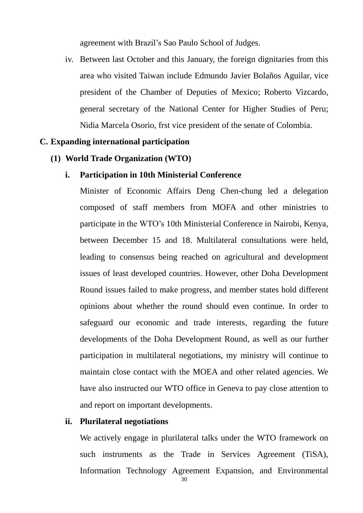agreement with Brazil's Sao Paulo School of Judges.

iv. Between last October and this January, the foreign dignitaries from this area who visited Taiwan include Edmundo Javier Bolaños Aguilar, vice president of the Chamber of Deputies of Mexico; Roberto Vizcardo, general secretary of the National Center for Higher Studies of Peru; Nidia Marcela Osorio, frst vice president of the senate of Colombia.

#### **C. Expanding international participation**

**(1) World Trade Organization (WTO)**

#### **i. Participation in 10th Ministerial Conference**

Minister of Economic Affairs Deng Chen-chung led a delegation composed of staff members from MOFA and other ministries to participate in the WTO's 10th Ministerial Conference in Nairobi, Kenya, between December 15 and 18. Multilateral consultations were held, leading to consensus being reached on agricultural and development issues of least developed countries. However, other Doha Development Round issues failed to make progress, and member states hold different opinions about whether the round should even continue. In order to safeguard our economic and trade interests, regarding the future developments of the Doha Development Round, as well as our further participation in multilateral negotiations, my ministry will continue to maintain close contact with the MOEA and other related agencies. We have also instructed our WTO office in Geneva to pay close attention to and report on important developments.

#### **ii. Plurilateral negotiations**

 We actively engage in plurilateral talks under the WTO framework on such instruments as the Trade in Services Agreement (TiSA), Information Technology Agreement Expansion, and Environmental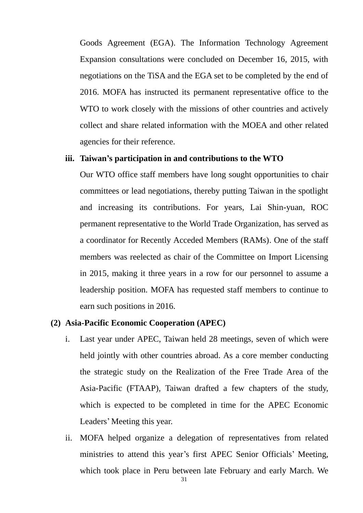Goods Agreement (EGA). The Information Technology Agreement Expansion consultations were concluded on December 16, 2015, with negotiations on the TiSA and the EGA set to be completed by the end of 2016. MOFA has instructed its permanent representative office to the WTO to work closely with the missions of other countries and actively collect and share related information with the MOEA and other related agencies for their reference.

## **iii. Taiwan's participation in and contributions to the WTO**

Our WTO office staff members have long sought opportunities to chair committees or lead negotiations, thereby putting Taiwan in the spotlight and increasing its contributions. For years, Lai Shin-yuan, ROC permanent representative to the World Trade Organization, has served as a coordinator for Recently Acceded Members (RAMs). One of the staff members was reelected as chair of the Committee on Import Licensing in 2015, making it three years in a row for our personnel to assume a leadership position. MOFA has requested staff members to continue to earn such positions in 2016.

#### **(2) Asia-Pacific Economic Cooperation (APEC)**

- i. Last year under APEC, Taiwan held 28 meetings, seven of which were held jointly with other countries abroad. As a core member conducting the strategic study on the Realization of the Free Trade Area of the Asia-Pacific (FTAAP), Taiwan drafted a few chapters of the study, which is expected to be completed in time for the APEC Economic Leaders' Meeting this year.
- ii. MOFA helped organize a delegation of representatives from related ministries to attend this year's first APEC Senior Officials' Meeting, which took place in Peru between late February and early March. We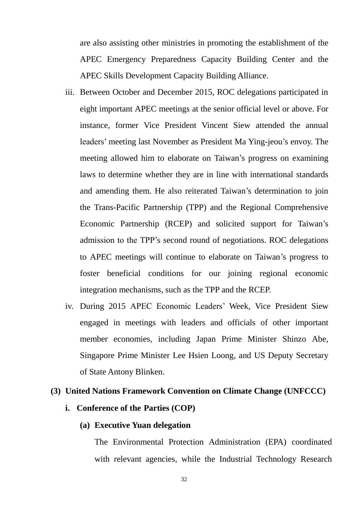are also assisting other ministries in promoting the establishment of the APEC Emergency Preparedness Capacity Building Center and the APEC Skills Development Capacity Building Alliance.

- iii. Between October and December 2015, ROC delegations participated in eight important APEC meetings at the senior official level or above. For instance, former Vice President Vincent Siew attended the annual leaders' meeting last November as President Ma Ying-jeou's envoy. The meeting allowed him to elaborate on Taiwan's progress on examining laws to determine whether they are in line with international standards and amending them. He also reiterated Taiwan's determination to join the Trans-Pacific Partnership (TPP) and the Regional Comprehensive Economic Partnership (RCEP) and solicited support for Taiwan's admission to the TPP's second round of negotiations. ROC delegations to APEC meetings will continue to elaborate on Taiwan's progress to foster beneficial conditions for our joining regional economic integration mechanisms, such as the TPP and the RCEP.
- iv. During 2015 APEC Economic Leaders' Week, Vice President Siew engaged in meetings with leaders and officials of other important member economies, including Japan Prime Minister Shinzo Abe, Singapore Prime Minister Lee Hsien Loong, and US Deputy Secretary of State Antony Blinken.

## **(3) United Nations Framework Convention on Climate Change (UNFCCC)**

## **i. Conference of the Parties (COP)**

## **(a) Executive Yuan delegation**

The Environmental Protection Administration (EPA) coordinated with relevant agencies, while the Industrial Technology Research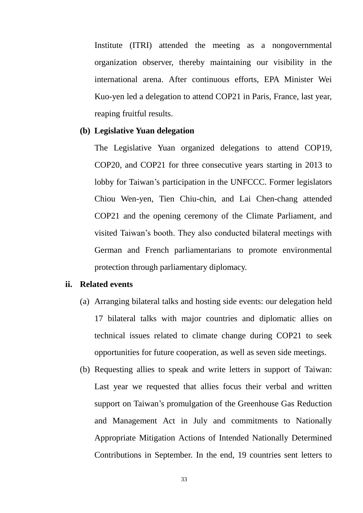Institute (ITRI) attended the meeting as a nongovernmental organization observer, thereby maintaining our visibility in the international arena. After continuous efforts, EPA Minister Wei Kuo-yen led a delegation to attend COP21 in Paris, France, last year, reaping fruitful results.

## **(b) Legislative Yuan delegation**

The Legislative Yuan organized delegations to attend COP19, COP20, and COP21 for three consecutive years starting in 2013 to lobby for Taiwan's participation in the UNFCCC. Former legislators Chiou Wen-yen, Tien Chiu-chin, and Lai Chen-chang attended COP21 and the opening ceremony of the Climate Parliament, and visited Taiwan's booth. They also conducted bilateral meetings with German and French parliamentarians to promote environmental protection through parliamentary diplomacy.

### **ii. Related events**

- (a) Arranging bilateral talks and hosting side events: our delegation held 17 bilateral talks with major countries and diplomatic allies on technical issues related to climate change during COP21 to seek opportunities for future cooperation, as well as seven side meetings.
- (b) Requesting allies to speak and write letters in support of Taiwan: Last year we requested that allies focus their verbal and written support on Taiwan's promulgation of the Greenhouse Gas Reduction and Management Act in July and commitments to Nationally Appropriate Mitigation Actions of Intended Nationally Determined Contributions in September. In the end, 19 countries sent letters to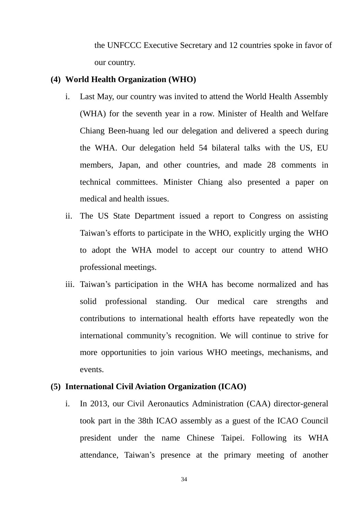the UNFCCC Executive Secretary and 12 countries spoke in favor of our country.

## **(4) World Health Organization (WHO)**

- i. Last May, our country was invited to attend the World Health Assembly (WHA) for the seventh year in a row. Minister of Health and Welfare Chiang Been-huang led our delegation and delivered a speech during the WHA. Our delegation held 54 bilateral talks with the US, EU members, Japan, and other countries, and made 28 comments in technical committees. Minister Chiang also presented a paper on medical and health issues.
- ii. The US State Department issued a report to Congress on assisting Taiwan's efforts to participate in the WHO, explicitly urging the WHO to adopt the WHA model to accept our country to attend WHO professional meetings.
- iii. Taiwan's participation in the WHA has become normalized and has solid professional standing. Our medical care strengths and contributions to international health efforts have repeatedly won the international community's recognition. We will continue to strive for more opportunities to join various WHO meetings, mechanisms, and events.

### **(5) International Civil Aviation Organization (ICAO)**

i. In 2013, our Civil Aeronautics Administration (CAA) director-general took part in the 38th ICAO assembly as a guest of the ICAO Council president under the name Chinese Taipei. Following its WHA attendance, Taiwan's presence at the primary meeting of another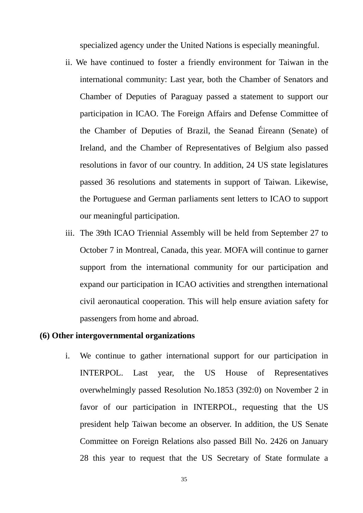specialized agency under the United Nations is especially meaningful.

- ii. We have continued to foster a friendly environment for Taiwan in the international community: Last year, both the Chamber of Senators and Chamber of Deputies of Paraguay passed a statement to support our participation in ICAO. The Foreign Affairs and Defense Committee of the Chamber of Deputies of Brazil, the Seanad Éireann (Senate) of Ireland, and the Chamber of Representatives of Belgium also passed resolutions in favor of our country. In addition, 24 US state legislatures passed 36 resolutions and statements in support of Taiwan. Likewise, the Portuguese and German parliaments sent letters to ICAO to support our meaningful participation.
- iii. The 39th ICAO Triennial Assembly will be held from September 27 to October 7 in Montreal, Canada, this year. MOFA will continue to garner support from the international community for our participation and expand our participation in ICAO activities and strengthen international civil aeronautical cooperation. This will help ensure aviation safety for passengers from home and abroad.

#### **(6) Other intergovernmental organizations**

i. We continue to gather international support for our participation in INTERPOL. Last year, the US House of Representatives overwhelmingly passed Resolution No.1853 (392:0) on November 2 in favor of our participation in INTERPOL, requesting that the US president help Taiwan become an observer. In addition, the US Senate Committee on Foreign Relations also passed Bill No. 2426 on January 28 this year to request that the US Secretary of State formulate a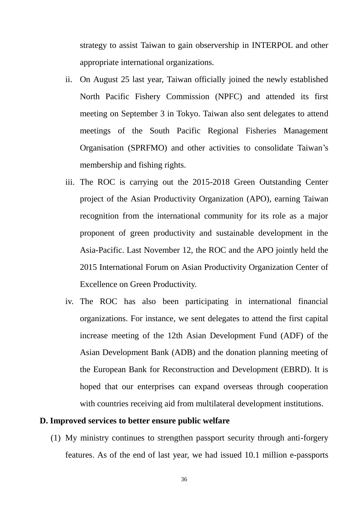strategy to assist Taiwan to gain observership in INTERPOL and other appropriate international organizations.

- ii. On August 25 last year, Taiwan officially joined the newly established North Pacific Fishery Commission (NPFC) and attended its first meeting on September 3 in Tokyo. Taiwan also sent delegates to attend meetings of the South Pacific Regional Fisheries Management Organisation (SPRFMO) and other activities to consolidate Taiwan's membership and fishing rights.
- iii. The ROC is carrying out the 2015-2018 Green Outstanding Center project of the Asian Productivity Organization (APO), earning Taiwan recognition from the international community for its role as a major proponent of green productivity and sustainable development in the Asia-Pacific. Last November 12, the ROC and the APO jointly held the 2015 International Forum on Asian Productivity Organization Center of Excellence on Green Productivity.
- iv. The ROC has also been participating in international financial organizations. For instance, we sent delegates to attend the first capital increase meeting of the 12th Asian Development Fund (ADF) of the Asian Development Bank (ADB) and the donation planning meeting of the European Bank for Reconstruction and Development (EBRD). It is hoped that our enterprises can expand overseas through cooperation with countries receiving aid from multilateral development institutions.

#### **D. Improved services to better ensure public welfare**

(1) My ministry continues to strengthen passport security through anti-forgery features. As of the end of last year, we had issued 10.1 million e-passports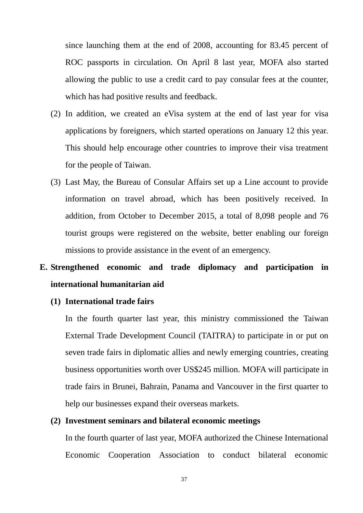since launching them at the end of 2008, accounting for 83.45 percent of ROC passports in circulation. On April 8 last year, MOFA also started allowing the public to use a credit card to pay consular fees at the counter, which has had positive results and feedback.

- (2) In addition, we created an eVisa system at the end of last year for visa applications by foreigners, which started operations on January 12 this year. This should help encourage other countries to improve their visa treatment for the people of Taiwan.
- (3) Last May, the Bureau of Consular Affairs set up a Line account to provide information on travel abroad, which has been positively received. In addition, from October to December 2015, a total of 8,098 people and 76 tourist groups were registered on the website, better enabling our foreign missions to provide assistance in the event of an emergency.

# **E. Strengthened economic and trade diplomacy and participation in international humanitarian aid**

### **(1) International trade fairs**

In the fourth quarter last year, this ministry commissioned the Taiwan External Trade Development Council (TAITRA) to participate in or put on seven trade fairs in diplomatic allies and newly emerging countries, creating business opportunities worth over US\$245 million. MOFA will participate in trade fairs in Brunei, Bahrain, Panama and Vancouver in the first quarter to help our businesses expand their overseas markets.

### **(2) Investment seminars and bilateral economic meetings**

In the fourth quarter of last year, MOFA authorized the Chinese International Economic Cooperation Association to conduct bilateral economic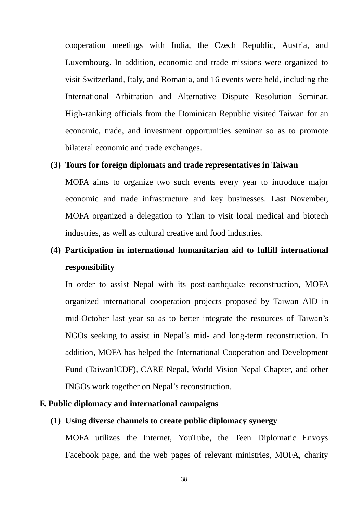cooperation meetings with India, the Czech Republic, Austria, and Luxembourg. In addition, economic and trade missions were organized to visit Switzerland, Italy, and Romania, and 16 events were held, including the International Arbitration and Alternative Dispute Resolution Seminar. High-ranking officials from the Dominican Republic visited Taiwan for an economic, trade, and investment opportunities seminar so as to promote bilateral economic and trade exchanges.

## **(3) Tours for foreign diplomats and trade representatives in Taiwan**

MOFA aims to organize two such events every year to introduce major economic and trade infrastructure and key businesses. Last November, MOFA organized a delegation to Yilan to visit local medical and biotech industries, as well as cultural creative and food industries.

# **(4) Participation in international humanitarian aid to fulfill international responsibility**

In order to assist Nepal with its post-earthquake reconstruction, MOFA organized international cooperation projects proposed by Taiwan AID in mid-October last year so as to better integrate the resources of Taiwan's NGOs seeking to assist in Nepal's mid- and long-term reconstruction. In addition, MOFA has helped the International Cooperation and Development Fund (TaiwanICDF), CARE Nepal, World Vision Nepal Chapter, and other INGOs work together on Nepal's reconstruction.

## **F. Public diplomacy and international campaigns**

### **(1) Using diverse channels to create public diplomacy synergy**

MOFA utilizes the Internet, YouTube, the Teen Diplomatic Envoys Facebook page, and the web pages of relevant ministries, MOFA, charity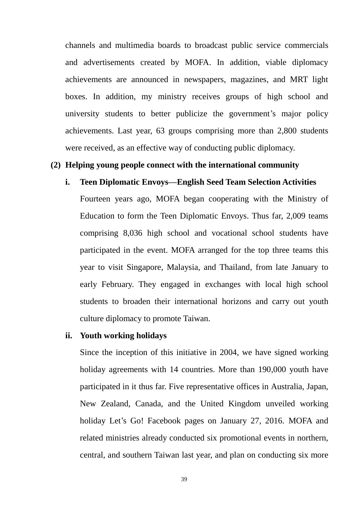channels and multimedia boards to broadcast public service commercials and advertisements created by MOFA. In addition, viable diplomacy achievements are announced in newspapers, magazines, and MRT light boxes. In addition, my ministry receives groups of high school and university students to better publicize the government's major policy achievements. Last year, 63 groups comprising more than 2,800 students were received, as an effective way of conducting public diplomacy.

## **(2) Helping young people connect with the international community**

#### **i. Teen Diplomatic Envoys—English Seed Team Selection Activities**

Fourteen years ago, MOFA began cooperating with the Ministry of Education to form the Teen Diplomatic Envoys. Thus far, 2,009 teams comprising 8,036 high school and vocational school students have participated in the event. MOFA arranged for the top three teams this year to visit Singapore, Malaysia, and Thailand, from late January to early February. They engaged in exchanges with local high school students to broaden their international horizons and carry out youth culture diplomacy to promote Taiwan.

#### **ii. Youth working holidays**

Since the inception of this initiative in 2004, we have signed working holiday agreements with 14 countries. More than 190,000 youth have participated in it thus far. Five representative offices in Australia, Japan, New Zealand, Canada, and the United Kingdom unveiled working holiday Let's Go! Facebook pages on January 27, 2016. MOFA and related ministries already conducted six promotional events in northern, central, and southern Taiwan last year, and plan on conducting six more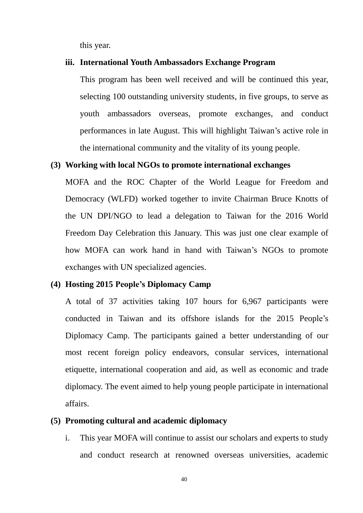this year.

### **iii. International Youth Ambassadors Exchange Program**

This program has been well received and will be continued this year, selecting 100 outstanding university students, in five groups, to serve as youth ambassadors overseas, promote exchanges, and conduct performances in late August. This will highlight Taiwan's active role in the international community and the vitality of its young people.

## **(3) Working with local NGOs to promote international exchanges**

MOFA and the ROC Chapter of the World League for Freedom and Democracy (WLFD) worked together to invite Chairman Bruce Knotts of the UN DPI/NGO to lead a delegation to Taiwan for the 2016 World Freedom Day Celebration this January. This was just one clear example of how MOFA can work hand in hand with Taiwan's NGOs to promote exchanges with UN specialized agencies.

## **(4) Hosting 2015 People's Diplomacy Camp**

A total of 37 activities taking 107 hours for 6,967 participants were conducted in Taiwan and its offshore islands for the 2015 People's Diplomacy Camp. The participants gained a better understanding of our most recent foreign policy endeavors, consular services, international etiquette, international cooperation and aid, as well as economic and trade diplomacy. The event aimed to help young people participate in international affairs.

#### **(5) Promoting cultural and academic diplomacy**

i. This year MOFA will continue to assist our scholars and experts to study and conduct research at renowned overseas universities, academic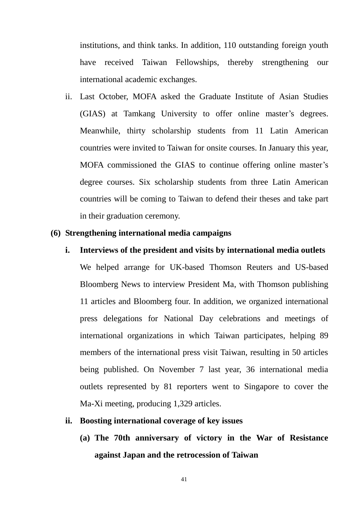institutions, and think tanks. In addition, 110 outstanding foreign youth have received Taiwan Fellowships, thereby strengthening our international academic exchanges.

ii. Last October, MOFA asked the Graduate Institute of Asian Studies (GIAS) at Tamkang University to offer online master's degrees. Meanwhile, thirty scholarship students from 11 Latin American countries were invited to Taiwan for onsite courses. In January this year, MOFA commissioned the GIAS to continue offering online master's degree courses. Six scholarship students from three Latin American countries will be coming to Taiwan to defend their theses and take part in their graduation ceremony.

## **(6) Strengthening international media campaigns**

**i. Interviews of the president and visits by international media outlets** We helped arrange for UK-based Thomson Reuters and US-based Bloomberg News to interview President Ma, with Thomson publishing 11 articles and Bloomberg four. In addition, we organized international press delegations for National Day celebrations and meetings of international organizations in which Taiwan participates, helping 89 members of the international press visit Taiwan, resulting in 50 articles being published. On November 7 last year, 36 international media outlets represented by 81 reporters went to Singapore to cover the Ma-Xi meeting, producing 1,329 articles.

#### **ii. Boosting international coverage of key issues**

**(a) The 70th anniversary of victory in the War of Resistance against Japan and the retrocession of Taiwan**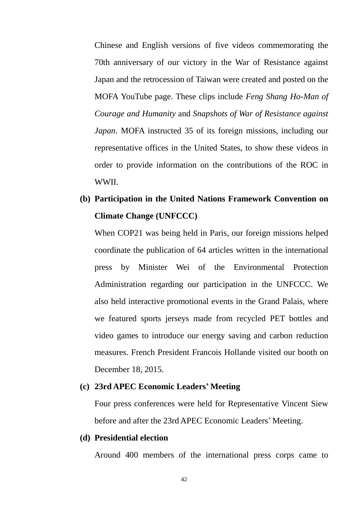Chinese and English versions of five videos commemorating the 70th anniversary of our victory in the War of Resistance against Japan and the retrocession of Taiwan were created and posted on the MOFA YouTube page. These clips include *Feng Shang Ho-Man of Courage and Humanity* and *Snapshots of War of Resistance against Japan*. MOFA instructed 35 of its foreign missions, including our representative offices in the United States, to show these videos in order to provide information on the contributions of the ROC in WWII.

## **(b) Participation in the United Nations Framework Convention on Climate Change (UNFCCC)**

When COP21 was being held in Paris, our foreign missions helped coordinate the publication of 64 articles written in the international press by Minister Wei of the Environmental Protection Administration regarding our participation in the UNFCCC. We also held interactive promotional events in the Grand Palais, where we featured sports jerseys made from recycled PET bottles and video games to introduce our energy saving and carbon reduction measures. French President Francois Hollande visited our booth on December 18, 2015.

## **(c) 23rd APEC Economic Leaders' Meeting**

Four press conferences were held for Representative Vincent Siew before and after the 23rd APEC Economic Leaders' Meeting.

## **(d) Presidential election**

Around 400 members of the international press corps came to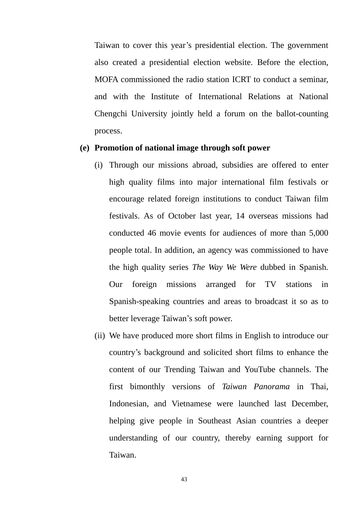Taiwan to cover this year's presidential election. The government also created a presidential election website. Before the election, MOFA commissioned the radio station ICRT to conduct a seminar, and with the Institute of International Relations at National Chengchi University jointly held a forum on the ballot-counting process.

## **(e) Promotion of national image through soft power**

- (i) Through our missions abroad, subsidies are offered to enter high quality films into major international film festivals or encourage related foreign institutions to conduct Taiwan film festivals. As of October last year, 14 overseas missions had conducted 46 movie events for audiences of more than 5,000 people total. In addition, an agency was commissioned to have the high quality series *The Way We Were* dubbed in Spanish. Our foreign missions arranged for TV stations in Spanish-speaking countries and areas to broadcast it so as to better leverage Taiwan's soft power.
- (ii) We have produced more short films in English to introduce our country's background and solicited short films to enhance the content of our Trending Taiwan and YouTube channels. The first bimonthly versions of *Taiwan Panorama* in Thai, Indonesian, and Vietnamese were launched last December, helping give people in Southeast Asian countries a deeper understanding of our country, thereby earning support for Taiwan.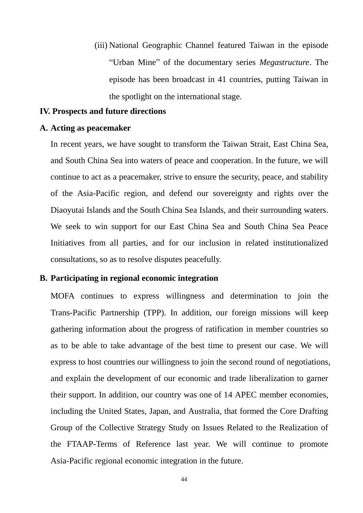(iii) National Geographic Channel featured Taiwan in the episode "Urban Mine" of the documentary series *Megastructure*. The episode has been broadcast in 41 countries, putting Taiwan in the spotlight on the international stage.

## **IV. Prospects and future directions**

#### **A. Acting as peacemaker**

In recent years, we have sought to transform the Taiwan Strait, East China Sea, and South China Sea into waters of peace and cooperation. In the future, we will continue to act as a peacemaker, strive to ensure the security, peace, and stability of the Asia-Pacific region, and defend our sovereignty and rights over the Diaoyutai Islands and the South China Sea Islands, and their surrounding waters. We seek to win support for our East China Sea and South China Sea Peace Initiatives from all parties, and for our inclusion in related institutionalized consultations, so as to resolve disputes peacefully.

### **B. Participating in regional economic integration**

MOFA continues to express willingness and determination to join the Trans-Pacific Partnership (TPP). In addition, our foreign missions will keep gathering information about the progress of ratification in member countries so as to be able to take advantage of the best time to present our case. We will express to host countries our willingness to join the second round of negotiations, and explain the development of our economic and trade liberalization to garner their support. In addition, our country was one of 14 APEC member economies, including the United States, Japan, and Australia, that formed the Core Drafting Group of the Collective Strategy Study on Issues Related to the Realization of the FTAAP-Terms of Reference last year. We will continue to promote Asia-Pacific regional economic integration in the future.

44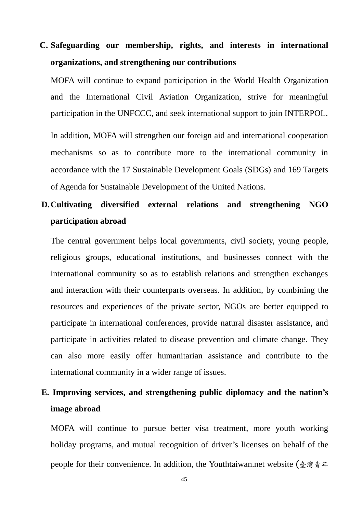# **C. Safeguarding our membership, rights, and interests in international organizations, and strengthening our contributions**

MOFA will continue to expand participation in the World Health Organization and the International Civil Aviation Organization, strive for meaningful participation in the UNFCCC, and seek international support to join INTERPOL.

In addition, MOFA will strengthen our foreign aid and international cooperation mechanisms so as to contribute more to the international community in accordance with the 17 Sustainable Development Goals (SDGs) and 169 Targets of Agenda for Sustainable Development of the United Nations.

## **D.Cultivating diversified external relations and strengthening NGO participation abroad**

The central government helps local governments, civil society, young people, religious groups, educational institutions, and businesses connect with the international community so as to establish relations and strengthen exchanges and interaction with their counterparts overseas. In addition, by combining the resources and experiences of the private sector, NGOs are better equipped to participate in international conferences, provide natural disaster assistance, and participate in activities related to disease prevention and climate change. They can also more easily offer humanitarian assistance and contribute to the international community in a wider range of issues.

## **E. Improving services, and strengthening public diplomacy and the nation's image abroad**

MOFA will continue to pursue better visa treatment, more youth working holiday programs, and mutual recognition of driver's licenses on behalf of the people for their convenience. In addition, the Youthtaiwan.net website (臺灣青年